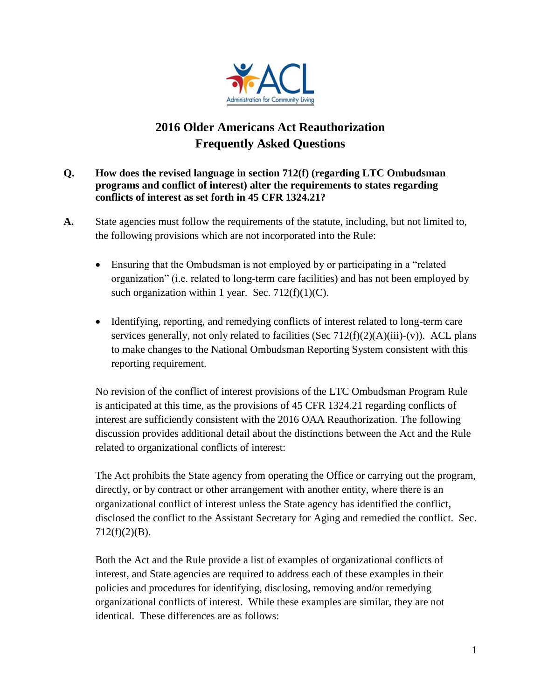

## **2016 Older Americans Act Reauthorization Frequently Asked Questions**

- **Q. How does the revised language in section 712(f) (regarding LTC Ombudsman programs and conflict of interest) alter the requirements to states regarding conflicts of interest as set forth in 45 CFR 1324.21?**
- **A.** State agencies must follow the requirements of the statute, including, but not limited to, the following provisions which are not incorporated into the Rule:
	- Ensuring that the Ombudsman is not employed by or participating in a "related organization" (i.e. related to long-term care facilities) and has not been employed by such organization within 1 year. Sec.  $712(f)(1)(C)$ .
	- Identifying, reporting, and remedying conflicts of interest related to long-term care services generally, not only related to facilities (Sec  $712(f)(2)(A)(iii)-(v)$ ). ACL plans to make changes to the National Ombudsman Reporting System consistent with this reporting requirement.

No revision of the conflict of interest provisions of the LTC Ombudsman Program Rule is anticipated at this time, as the provisions of 45 CFR 1324.21 regarding conflicts of interest are sufficiently consistent with the 2016 OAA Reauthorization. The following discussion provides additional detail about the distinctions between the Act and the Rule related to organizational conflicts of interest:

The Act prohibits the State agency from operating the Office or carrying out the program, directly, or by contract or other arrangement with another entity, where there is an organizational conflict of interest unless the State agency has identified the conflict, disclosed the conflict to the Assistant Secretary for Aging and remedied the conflict. Sec. 712(f)(2)(B).

Both the Act and the Rule provide a list of examples of organizational conflicts of interest, and State agencies are required to address each of these examples in their policies and procedures for identifying, disclosing, removing and/or remedying organizational conflicts of interest. While these examples are similar, they are not identical. These differences are as follows: